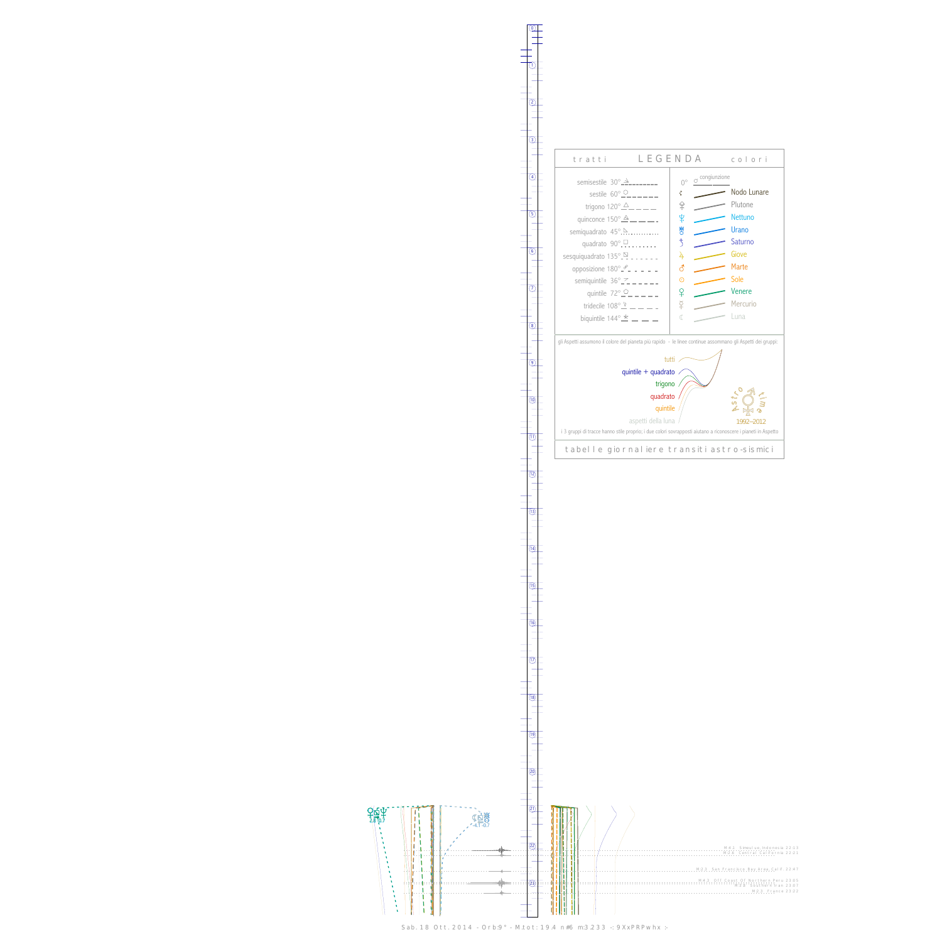